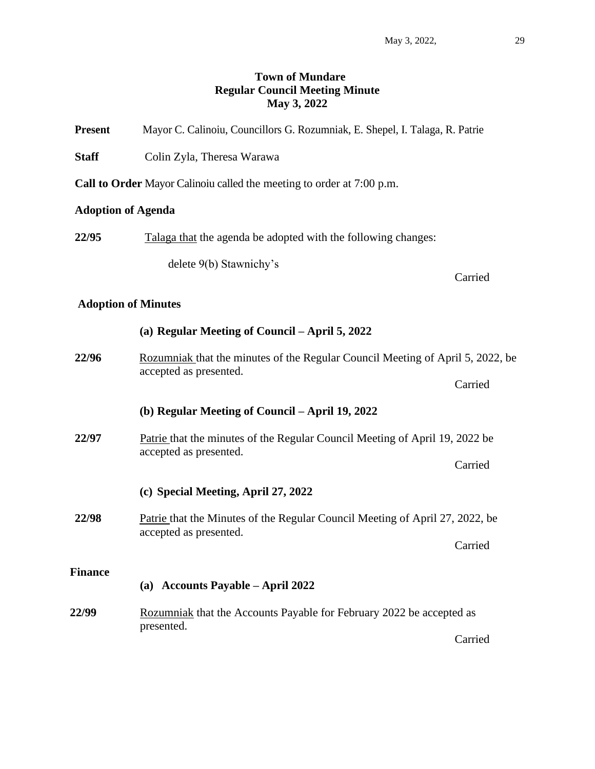# **Town of Mundare Regular Council Meeting Minute May 3, 2022**

| <b>Present</b>             | Mayor C. Calinoiu, Councillors G. Rozumniak, E. Shepel, I. Talaga, R. Patrie                             |         |  |  |  |
|----------------------------|----------------------------------------------------------------------------------------------------------|---------|--|--|--|
| <b>Staff</b>               | Colin Zyla, Theresa Warawa                                                                               |         |  |  |  |
|                            | Call to Order Mayor Calinoiu called the meeting to order at 7:00 p.m.                                    |         |  |  |  |
| <b>Adoption of Agenda</b>  |                                                                                                          |         |  |  |  |
| 22/95                      | Talaga that the agenda be adopted with the following changes:                                            |         |  |  |  |
|                            | delete 9(b) Stawnichy's                                                                                  | Carried |  |  |  |
| <b>Adoption of Minutes</b> |                                                                                                          |         |  |  |  |
|                            | (a) Regular Meeting of Council – April 5, 2022                                                           |         |  |  |  |
| 22/96                      | Rozumniak that the minutes of the Regular Council Meeting of April 5, 2022, be<br>accepted as presented. |         |  |  |  |
|                            |                                                                                                          | Carried |  |  |  |
|                            | (b) Regular Meeting of Council – April 19, 2022                                                          |         |  |  |  |
| 22/97                      | Patrie that the minutes of the Regular Council Meeting of April 19, 2022 be<br>accepted as presented.    |         |  |  |  |
|                            |                                                                                                          | Carried |  |  |  |
|                            | (c) Special Meeting, April 27, 2022                                                                      |         |  |  |  |
| 22/98                      | Patrie that the Minutes of the Regular Council Meeting of April 27, 2022, be<br>accepted as presented.   |         |  |  |  |
|                            |                                                                                                          | Carried |  |  |  |
| <b>Finance</b>             | (a) Accounts Payable - April 2022                                                                        |         |  |  |  |
| 22/99                      | Rozumniak that the Accounts Payable for February 2022 be accepted as                                     |         |  |  |  |
|                            | presented.                                                                                               | Carried |  |  |  |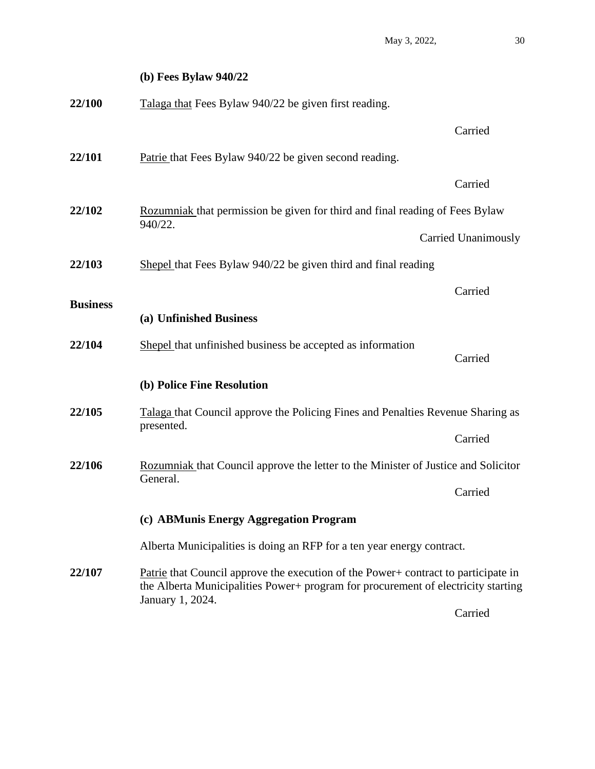|                 | (b) Fees Bylaw $940/22$                                                                                                                                                                     |                     |  |
|-----------------|---------------------------------------------------------------------------------------------------------------------------------------------------------------------------------------------|---------------------|--|
| 22/100          | Talaga that Fees Bylaw 940/22 be given first reading.                                                                                                                                       |                     |  |
|                 |                                                                                                                                                                                             | Carried             |  |
| 22/101          | Patrie that Fees Bylaw 940/22 be given second reading.                                                                                                                                      |                     |  |
|                 |                                                                                                                                                                                             | Carried             |  |
| 22/102          | Rozumniak that permission be given for third and final reading of Fees Bylaw<br>940/22.                                                                                                     |                     |  |
|                 |                                                                                                                                                                                             | Carried Unanimously |  |
| 22/103          | Shepel that Fees Bylaw 940/22 be given third and final reading                                                                                                                              |                     |  |
| <b>Business</b> |                                                                                                                                                                                             | Carried             |  |
|                 | (a) Unfinished Business                                                                                                                                                                     |                     |  |
| 22/104          | Shepel that unfinished business be accepted as information                                                                                                                                  | Carried             |  |
|                 | (b) Police Fine Resolution                                                                                                                                                                  |                     |  |
| 22/105          | Talaga that Council approve the Policing Fines and Penalties Revenue Sharing as                                                                                                             |                     |  |
|                 | presented.                                                                                                                                                                                  | Carried             |  |
| 22/106          | Rozumniak that Council approve the letter to the Minister of Justice and Solicitor<br>General.                                                                                              |                     |  |
|                 |                                                                                                                                                                                             | Carried             |  |
|                 | (c) ABMunis Energy Aggregation Program                                                                                                                                                      |                     |  |
|                 | Alberta Municipalities is doing an RFP for a ten year energy contract.                                                                                                                      |                     |  |
| 22/107          | Patrie that Council approve the execution of the Power+ contract to participate in<br>the Alberta Municipalities Power+ program for procurement of electricity starting<br>January 1, 2024. |                     |  |

Carried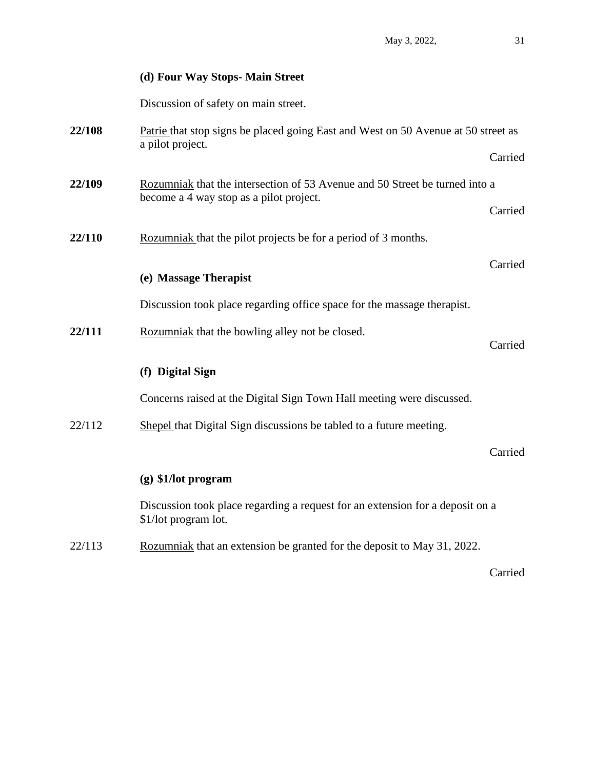### **(d) Four Way Stops- Main Street**

Discussion of safety on main street.

- **22/108** Patrie that stop signs be placed going East and West on 50 Avenue at 50 street as a pilot project. Carried **22/109** Rozumniak that the intersection of 53 Avenue and 50 Street be turned into a become a 4 way stop as a pilot project. Carried **22/110** Rozumniak that the pilot projects be for a period of 3 months. Carried **(e) Massage Therapist** Discussion took place regarding office space for the massage therapist.
- 22/111 Rozumniak that the bowling alley not be closed.
	- Carried

## **(f) Digital Sign**

Concerns raised at the Digital Sign Town Hall meeting were discussed.

22/112 Shepel that Digital Sign discussions be tabled to a future meeting.

Carried

#### **(g) \$1/lot program**

Discussion took place regarding a request for an extension for a deposit on a \$1/lot program lot.

22/113 Rozumniak that an extension be granted for the deposit to May 31, 2022.

Carried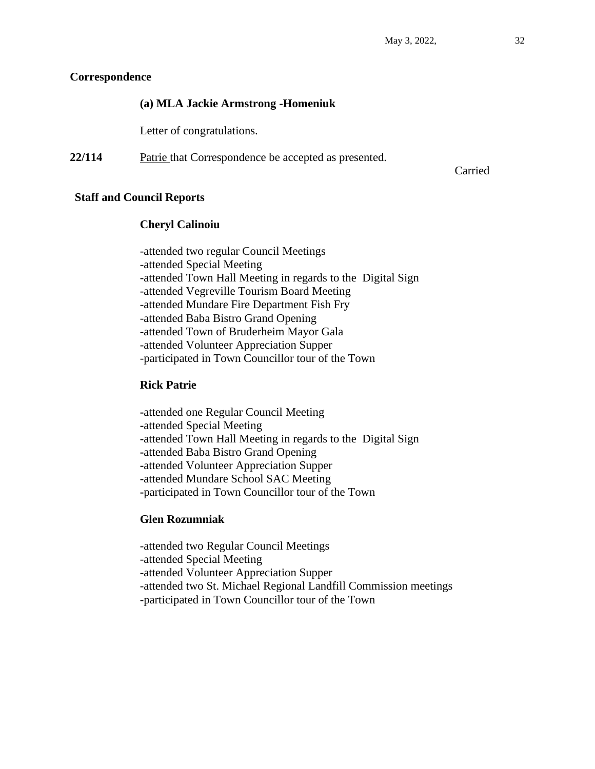## **Correspondence**

# **(a) MLA Jackie Armstrong -Homeniuk**

Letter of congratulations.

**22/114** Patrie that Correspondence be accepted as presented.

Carried

## **Staff and Council Reports**

## **Cheryl Calinoiu**

-attended two regular Council Meetings -attended Special Meeting -attended Town Hall Meeting in regards to the Digital Sign -attended Vegreville Tourism Board Meeting -attended Mundare Fire Department Fish Fry -attended Baba Bistro Grand Opening -attended Town of Bruderheim Mayor Gala -attended Volunteer Appreciation Supper -participated in Town Councillor tour of the Town

# **Rick Patrie**

**-**attended one Regular Council Meeting **-**attended Special Meeting **-**attended Town Hall Meeting in regards to the Digital Sign **-**attended Baba Bistro Grand Opening **-**attended Volunteer Appreciation Supper **-**attended Mundare School SAC Meeting **-**participated in Town Councillor tour of the Town

# **Glen Rozumniak**

-attended two Regular Council Meetings -attended Special Meeting -attended Volunteer Appreciation Supper -attended two St. Michael Regional Landfill Commission meetings -participated in Town Councillor tour of the Town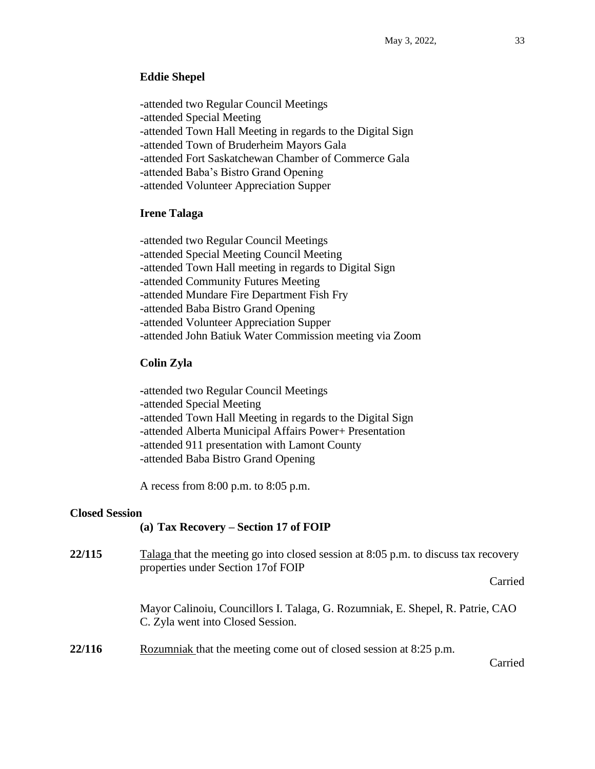### **Eddie Shepel**

-attended two Regular Council Meetings -attended Special Meeting -attended Town Hall Meeting in regards to the Digital Sign -attended Town of Bruderheim Mayors Gala -attended Fort Saskatchewan Chamber of Commerce Gala -attended Baba's Bistro Grand Opening -attended Volunteer Appreciation Supper

## **Irene Talaga**

-attended two Regular Council Meetings -attended Special Meeting Council Meeting -attended Town Hall meeting in regards to Digital Sign -attended Community Futures Meeting -attended Mundare Fire Department Fish Fry -attended Baba Bistro Grand Opening -attended Volunteer Appreciation Supper -attended John Batiuk Water Commission meeting via Zoom

#### **Colin Zyla**

**-**attended two Regular Council Meetings -attended Special Meeting -attended Town Hall Meeting in regards to the Digital Sign -attended Alberta Municipal Affairs Power+ Presentation -attended 911 presentation with Lamont County -attended Baba Bistro Grand Opening

A recess from 8:00 p.m. to 8:05 p.m.

#### **Closed Session**

#### **(a) Tax Recovery – Section 17 of FOIP**

| 22/115 | Talaga that the meeting go into closed session at 8:05 p.m. to discuss tax recovery<br>properties under Section 17of FOIP |         |
|--------|---------------------------------------------------------------------------------------------------------------------------|---------|
|        |                                                                                                                           | Carried |
|        | Mayor Calinoiu, Councillors I. Talaga, G. Rozumniak, E. Shepel, R. Patrie, CAO<br>C. Zyla went into Closed Session.       |         |
| 22/116 | Rozumniak that the meeting come out of closed session at 8:25 p.m.                                                        | Carried |